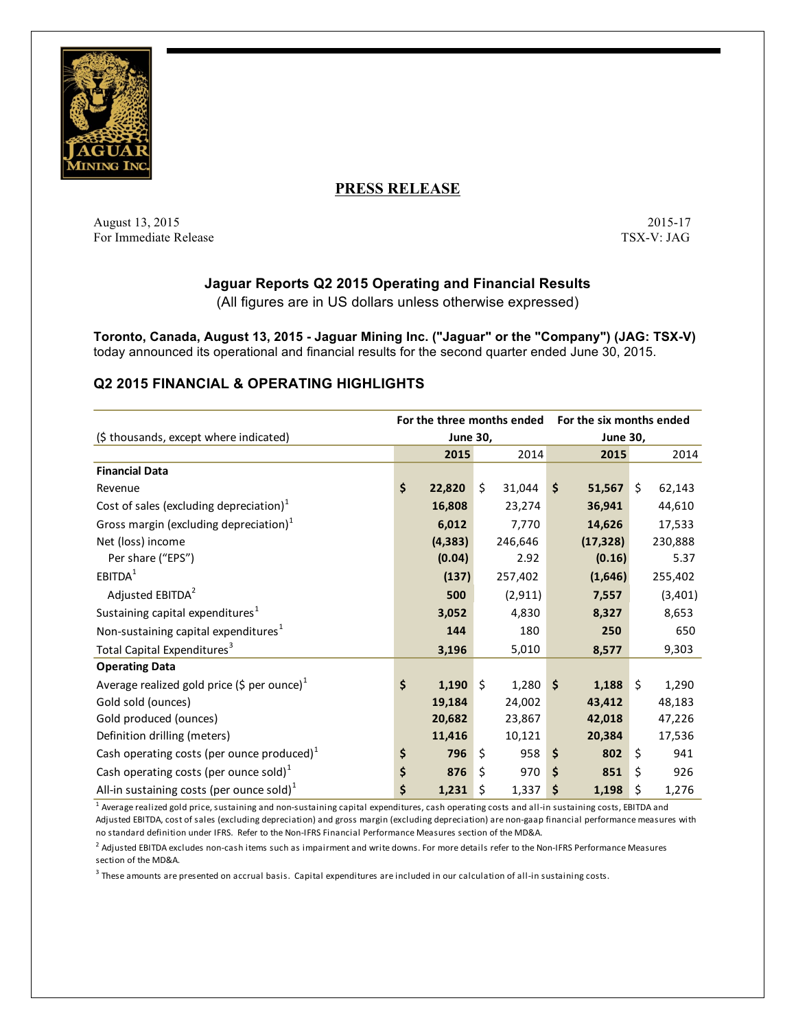

# **PRESS RELEASE**

August 13, 2015 2015 2015 2015 2015 2015 2016 2016 2017 2017 2018 2017 2017 2018 2017 2017 2018 2019 2017 2017 For Immediate Release TSX-V: JAG

## **Jaguar Reports Q2 2015 Operating and Financial Results**

(All figures are in US dollars unless otherwise expressed)

**Toronto, Canada, August 13, 2015 - Jaguar Mining Inc. ("Jaguar" or the "Company") (JAG: TSX-V)** today announced its operational and financial results for the second quarter ended June 30, 2015.

## **Q2 2015 FINANCIAL & OPERATING HIGHLIGHTS**

|                                                         | For the three months ended |          |         | For the six months ended |    |           |         |         |
|---------------------------------------------------------|----------------------------|----------|---------|--------------------------|----|-----------|---------|---------|
| (\$ thousands, except where indicated)                  | <b>June 30,</b>            |          |         | <b>June 30,</b>          |    |           |         |         |
|                                                         |                            | 2015     |         | 2014                     |    | 2015      |         | 2014    |
| <b>Financial Data</b>                                   |                            |          |         |                          |    |           |         |         |
| Revenue                                                 | \$                         | 22,820   | \$      | 31,044                   | \$ | 51,567    | Ŝ.      | 62,143  |
| Cost of sales (excluding depreciation) $1$              |                            | 16,808   |         | 23,274                   |    | 36,941    |         | 44,610  |
| Gross margin (excluding depreciation) $1$               |                            | 6,012    |         | 7,770                    |    | 14,626    |         | 17,533  |
| Net (loss) income                                       |                            | (4, 383) |         | 246,646                  |    | (17, 328) |         | 230,888 |
| Per share ("EPS")                                       |                            | (0.04)   |         | 2.92                     |    | (0.16)    |         | 5.37    |
| EBITDA <sup>1</sup>                                     |                            | (137)    |         | 257,402                  |    | (1,646)   |         | 255,402 |
| Adjusted EBITDA <sup>2</sup>                            |                            | 500      |         | (2, 911)                 |    | 7,557     |         | (3,401) |
| Sustaining capital expenditures <sup>1</sup>            |                            | 3,052    |         | 4,830                    |    | 8,327     |         | 8,653   |
| Non-sustaining capital expenditures <sup>1</sup>        |                            | 144      |         | 180                      |    | 250       |         | 650     |
| Total Capital Expenditures <sup>3</sup>                 |                            | 3,196    |         | 5,010                    |    | 8,577     |         | 9,303   |
| <b>Operating Data</b>                                   |                            |          |         |                          |    |           |         |         |
| Average realized gold price (\$ per ounce) <sup>1</sup> | \$                         | 1,190    | $\zeta$ | $1,280$ \$               |    | 1,188     | $\zeta$ | 1,290   |
| Gold sold (ounces)                                      |                            | 19,184   |         | 24,002                   |    | 43,412    |         | 48,183  |
| Gold produced (ounces)                                  |                            | 20,682   |         | 23,867                   |    | 42,018    |         | 47,226  |
| Definition drilling (meters)                            |                            | 11,416   |         | 10,121                   |    | 20,384    |         | 17,536  |
| Cash operating costs (per ounce produced) $1$           | \$                         | 796      | \$      | 958                      | \$ | 802       | \$      | 941     |
| Cash operating costs (per ounce sold) <sup>1</sup>      | \$                         | 876      | \$      | 970                      | Ś  | 851       | Ś.      | 926     |
| All-in sustaining costs (per ounce sold) $1$            | \$                         | 1,231    | \$      | 1,337                    | \$ | 1,198     | \$      | 1,276   |

 $^{\rm 1}$  Average realized gold price, sustaining and non-sustaining capital expenditures, cash operating costs and all-in sustaining costs, EBITDA and Adjusted EBITDA, cost of sales (excluding depreciation) and gross margin (excluding depreciation) are non-gaap financial performance measures with no standard definition under IFRS. Refer to the Non-IFRS Financial Performance Measures section of the MD&A.

<sup>2</sup> Adjusted EBITDA excludes non-cash items such as impairment and write downs. For more details refer to the Non-IFRS Performance Measures section of the MD&A.

 $^3$  These amounts are presented on accrual basis. Capital expenditures are included in our calculation of all-in sustaining costs.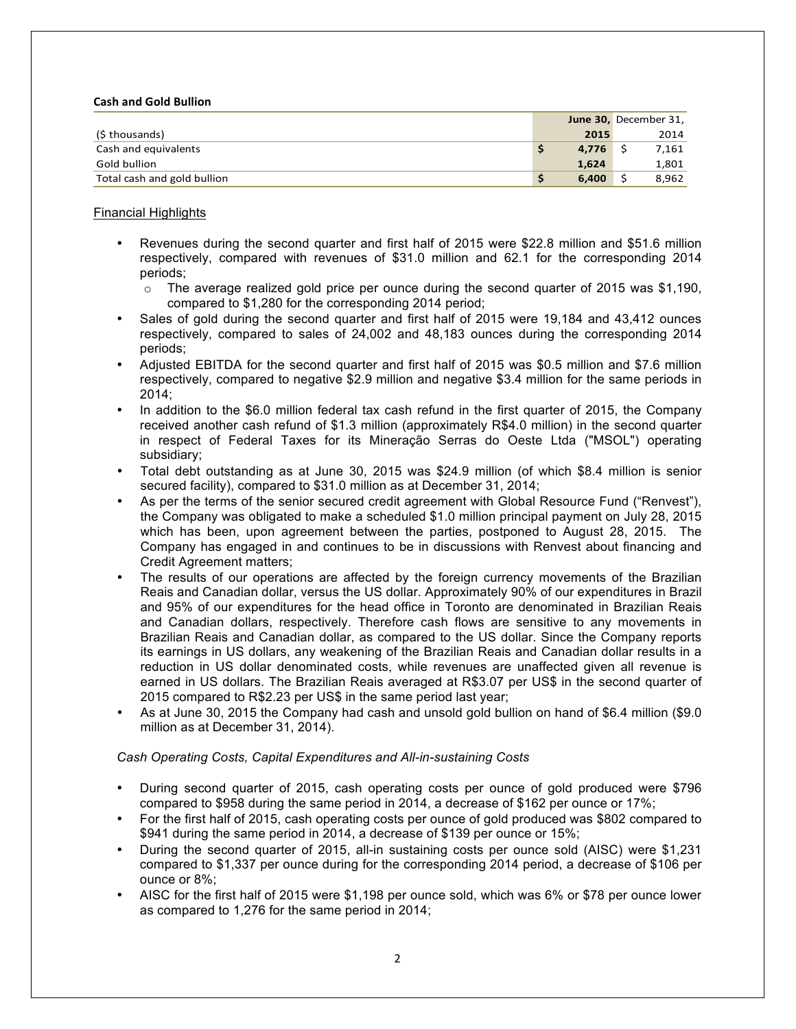#### **Cash and Gold Bullion**

|                             |   |       | June 30, December 31, |
|-----------------------------|---|-------|-----------------------|
| (\$ thousands)              |   | 2015  | 2014                  |
| Cash and equivalents        | s | 4.776 | 7,161                 |
| Gold bullion                |   | 1.624 | 1,801                 |
| Total cash and gold bullion | ১ | 6.400 | 8.962                 |

#### Financial Highlights

- Revenues during the second quarter and first half of 2015 were \$22.8 million and \$51.6 million respectively, compared with revenues of \$31.0 million and 62.1 for the corresponding 2014 periods;
	- $\circ$  The average realized gold price per ounce during the second quarter of 2015 was \$1,190, compared to \$1,280 for the corresponding 2014 period;
- Sales of gold during the second quarter and first half of 2015 were 19,184 and 43,412 ounces respectively, compared to sales of 24,002 and 48,183 ounces during the corresponding 2014 periods;
- Adjusted EBITDA for the second quarter and first half of 2015 was \$0.5 million and \$7.6 million respectively, compared to negative \$2.9 million and negative \$3.4 million for the same periods in 2014;
- In addition to the \$6.0 million federal tax cash refund in the first quarter of 2015, the Company received another cash refund of \$1.3 million (approximately R\$4.0 million) in the second quarter in respect of Federal Taxes for its Mineração Serras do Oeste Ltda ("MSOL") operating subsidiary;
- Total debt outstanding as at June 30, 2015 was \$24.9 million (of which \$8.4 million is senior secured facility), compared to \$31.0 million as at December 31, 2014;
- As per the terms of the senior secured credit agreement with Global Resource Fund ("Renvest"), the Company was obligated to make a scheduled \$1.0 million principal payment on July 28, 2015 which has been, upon agreement between the parties, postponed to August 28, 2015. The Company has engaged in and continues to be in discussions with Renvest about financing and Credit Agreement matters;
- The results of our operations are affected by the foreign currency movements of the Brazilian Reais and Canadian dollar, versus the US dollar. Approximately 90% of our expenditures in Brazil and 95% of our expenditures for the head office in Toronto are denominated in Brazilian Reais and Canadian dollars, respectively. Therefore cash flows are sensitive to any movements in Brazilian Reais and Canadian dollar, as compared to the US dollar. Since the Company reports its earnings in US dollars, any weakening of the Brazilian Reais and Canadian dollar results in a reduction in US dollar denominated costs, while revenues are unaffected given all revenue is earned in US dollars. The Brazilian Reais averaged at R\$3.07 per US\$ in the second quarter of 2015 compared to R\$2.23 per US\$ in the same period last year;
- As at June 30, 2015 the Company had cash and unsold gold bullion on hand of \$6.4 million (\$9.0 million as at December 31, 2014).

#### *Cash Operating Costs, Capital Expenditures and All-in-sustaining Costs*

- During second quarter of 2015, cash operating costs per ounce of gold produced were \$796 compared to \$958 during the same period in 2014, a decrease of \$162 per ounce or 17%;
- For the first half of 2015, cash operating costs per ounce of gold produced was \$802 compared to \$941 during the same period in 2014, a decrease of \$139 per ounce or 15%;
- During the second quarter of 2015, all-in sustaining costs per ounce sold (AISC) were \$1,231 compared to \$1,337 per ounce during for the corresponding 2014 period, a decrease of \$106 per ounce or 8%;
- AISC for the first half of 2015 were \$1,198 per ounce sold, which was 6% or \$78 per ounce lower as compared to 1,276 for the same period in 2014;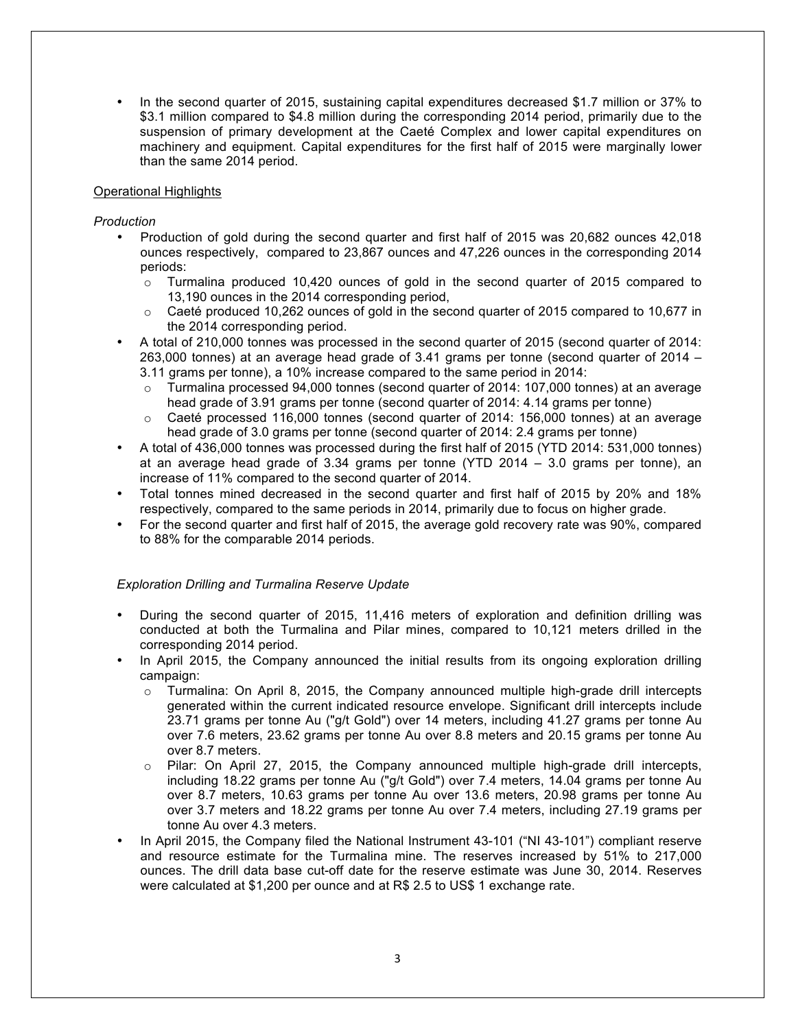• In the second quarter of 2015, sustaining capital expenditures decreased \$1.7 million or 37% to \$3.1 million compared to \$4.8 million during the corresponding 2014 period, primarily due to the suspension of primary development at the Caeté Complex and lower capital expenditures on machinery and equipment. Capital expenditures for the first half of 2015 were marginally lower than the same 2014 period.

### Operational Highlights

### *Production*

- Production of gold during the second quarter and first half of 2015 was 20,682 ounces 42,018 ounces respectively, compared to 23,867 ounces and 47,226 ounces in the corresponding 2014 periods:
	- $\circ$  Turmalina produced 10,420 ounces of gold in the second quarter of 2015 compared to 13,190 ounces in the 2014 corresponding period,
	- Caeté produced 10,262 ounces of gold in the second quarter of 2015 compared to 10,677 in the 2014 corresponding period.
- A total of 210,000 tonnes was processed in the second quarter of 2015 (second quarter of 2014: 263,000 tonnes) at an average head grade of 3.41 grams per tonne (second quarter of 2014 – 3.11 grams per tonne), a 10% increase compared to the same period in 2014:
	- $\circ$  Turmalina processed 94,000 tonnes (second quarter of 2014: 107,000 tonnes) at an average head grade of 3.91 grams per tonne (second quarter of 2014: 4.14 grams per tonne)
	- $\circ$  Caeté processed 116,000 tonnes (second quarter of 2014: 156,000 tonnes) at an average head grade of 3.0 grams per tonne (second quarter of 2014: 2.4 grams per tonne)
- A total of 436,000 tonnes was processed during the first half of 2015 (YTD 2014: 531,000 tonnes) at an average head grade of 3.34 grams per tonne (YTD 2014 – 3.0 grams per tonne), an increase of 11% compared to the second quarter of 2014.
- Total tonnes mined decreased in the second quarter and first half of 2015 by 20% and 18% respectively, compared to the same periods in 2014, primarily due to focus on higher grade.
- For the second quarter and first half of 2015, the average gold recovery rate was 90%, compared to 88% for the comparable 2014 periods.

#### *Exploration Drilling and Turmalina Reserve Update*

- During the second quarter of 2015, 11,416 meters of exploration and definition drilling was conducted at both the Turmalina and Pilar mines, compared to 10,121 meters drilled in the corresponding 2014 period.
- In April 2015, the Company announced the initial results from its ongoing exploration drilling campaign:
	- $\circ$  Turmalina: On April 8, 2015, the Company announced multiple high-grade drill intercepts generated within the current indicated resource envelope. Significant drill intercepts include 23.71 grams per tonne Au ("g/t Gold") over 14 meters, including 41.27 grams per tonne Au over 7.6 meters, 23.62 grams per tonne Au over 8.8 meters and 20.15 grams per tonne Au over 8.7 meters.
	- $\circ$  Pilar: On April 27, 2015, the Company announced multiple high-grade drill intercepts, including 18.22 grams per tonne Au ("g/t Gold") over 7.4 meters, 14.04 grams per tonne Au over 8.7 meters, 10.63 grams per tonne Au over 13.6 meters, 20.98 grams per tonne Au over 3.7 meters and 18.22 grams per tonne Au over 7.4 meters, including 27.19 grams per tonne Au over 4.3 meters.
- In April 2015, the Company filed the National Instrument 43-101 ("NI 43-101") compliant reserve and resource estimate for the Turmalina mine. The reserves increased by 51% to 217,000 ounces. The drill data base cut-off date for the reserve estimate was June 30, 2014. Reserves were calculated at \$1,200 per ounce and at R\$ 2.5 to US\$ 1 exchange rate.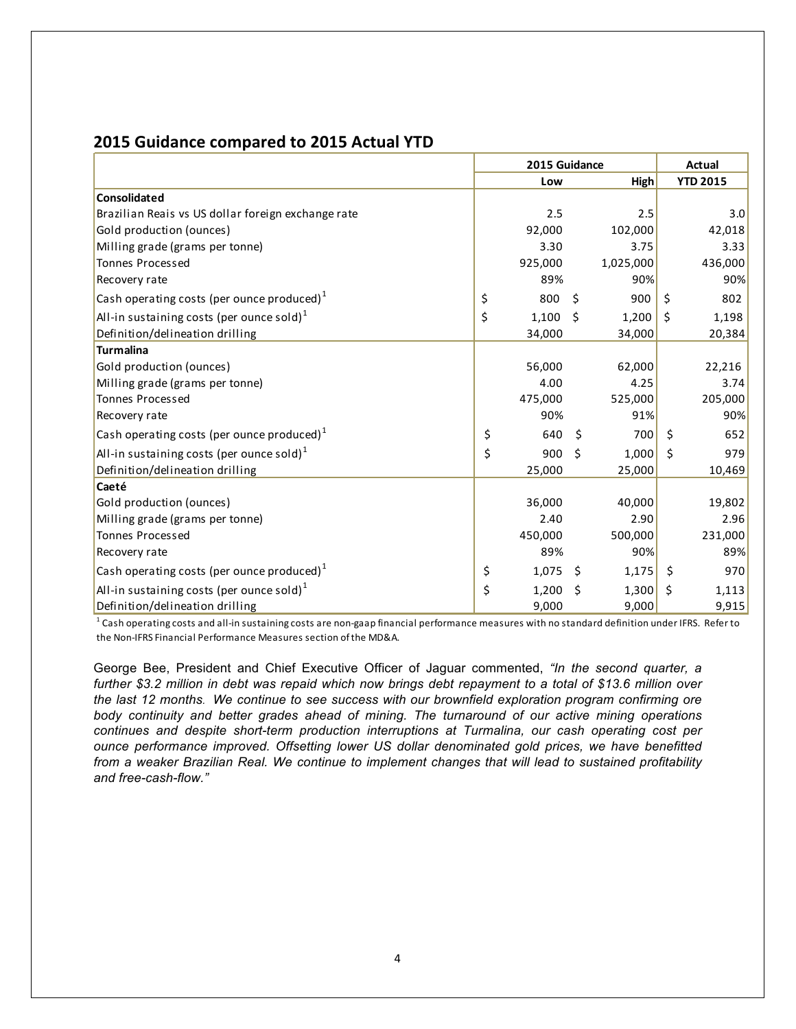# **2015 Guidance compared to 2015 Actual YTD**

|                                                       | 2015 Guidance |         |         |           |    | Actual          |  |
|-------------------------------------------------------|---------------|---------|---------|-----------|----|-----------------|--|
|                                                       |               | Low     |         | High      |    | <b>YTD 2015</b> |  |
| <b>Consolidated</b>                                   |               |         |         |           |    |                 |  |
| Brazilian Reais vs US dollar foreign exchange rate    |               | 2.5     |         | 2.5       |    | 3.0             |  |
| Gold production (ounces)                              |               | 92,000  |         | 102,000   |    | 42,018          |  |
| Milling grade (grams per tonne)                       |               | 3.30    |         | 3.75      |    | 3.33            |  |
| <b>Tonnes Processed</b>                               |               | 925,000 |         | 1,025,000 |    | 436,000         |  |
| Recovery rate                                         |               | 89%     |         | 90%       |    | 90%             |  |
| Cash operating costs (per ounce produced) $1$         | \$            | 800     | \$      | 900       | Ś. | 802             |  |
| All-in sustaining costs (per ounce sold) <sup>1</sup> | \$            | 1,100   | $\zeta$ | 1,200     | Ś. | 1,198           |  |
| Definition/delineation drilling                       |               | 34,000  |         | 34,000    |    | 20,384          |  |
| <b>Turmalina</b>                                      |               |         |         |           |    |                 |  |
| Gold production (ounces)                              |               | 56,000  |         | 62,000    |    | 22,216          |  |
| Milling grade (grams per tonne)                       |               | 4.00    |         | 4.25      |    | 3.74            |  |
| <b>Tonnes Processed</b>                               |               | 475,000 |         | 525,000   |    | 205,000         |  |
| Recovery rate                                         |               | 90%     |         | 91%       |    | 90%             |  |
| Cash operating costs (per ounce produced) $1$         | \$            | 640     | \$      | 700       | Ŝ. | 652             |  |
| All-in sustaining costs (per ounce sold) $1$          | \$            | 900     | Ś       | 1,000     | Ś. | 979             |  |
| Definition/delineation drilling                       |               | 25,000  |         | 25,000    |    | 10,469          |  |
| Caeté                                                 |               |         |         |           |    |                 |  |
| Gold production (ounces)                              |               | 36,000  |         | 40,000    |    | 19,802          |  |
| Milling grade (grams per tonne)                       |               | 2.40    |         | 2.90      |    | 2.96            |  |
| <b>Tonnes Processed</b>                               |               | 450,000 |         | 500,000   |    | 231,000         |  |
| Recovery rate                                         |               | 89%     |         | 90%       |    | 89%             |  |
| Cash operating costs (per ounce produced) $1$         | \$            | 1,075   | -\$     | 1,175     | \$ | 970             |  |
| All-in sustaining costs (per ounce sold) $1$          | \$            | 1,200   | Ś       | 1,300     | Ś  | 1,113           |  |
| Definition/delineation drilling                       |               | 9,000   |         | 9,000     |    | 9,915           |  |

 $^{\text{1}}$  Cash operating costs and all-in sustaining costs are non-gaap financial performance measures with no standard definition under IFRS. Refer to the Non-IFRS Financial Performance Measures section of the MD&A.

George Bee, President and Chief Executive Officer of Jaguar commented, *"In the second quarter, a further \$3.2 million in debt was repaid which now brings debt repayment to a total of \$13.6 million over the last 12 months. We continue to see success with our brownfield exploration program confirming ore body continuity and better grades ahead of mining. The turnaround of our active mining operations continues and despite short-term production interruptions at Turmalina, our cash operating cost per ounce performance improved. Offsetting lower US dollar denominated gold prices, we have benefitted from a weaker Brazilian Real. We continue to implement changes that will lead to sustained profitability and free-cash-flow."*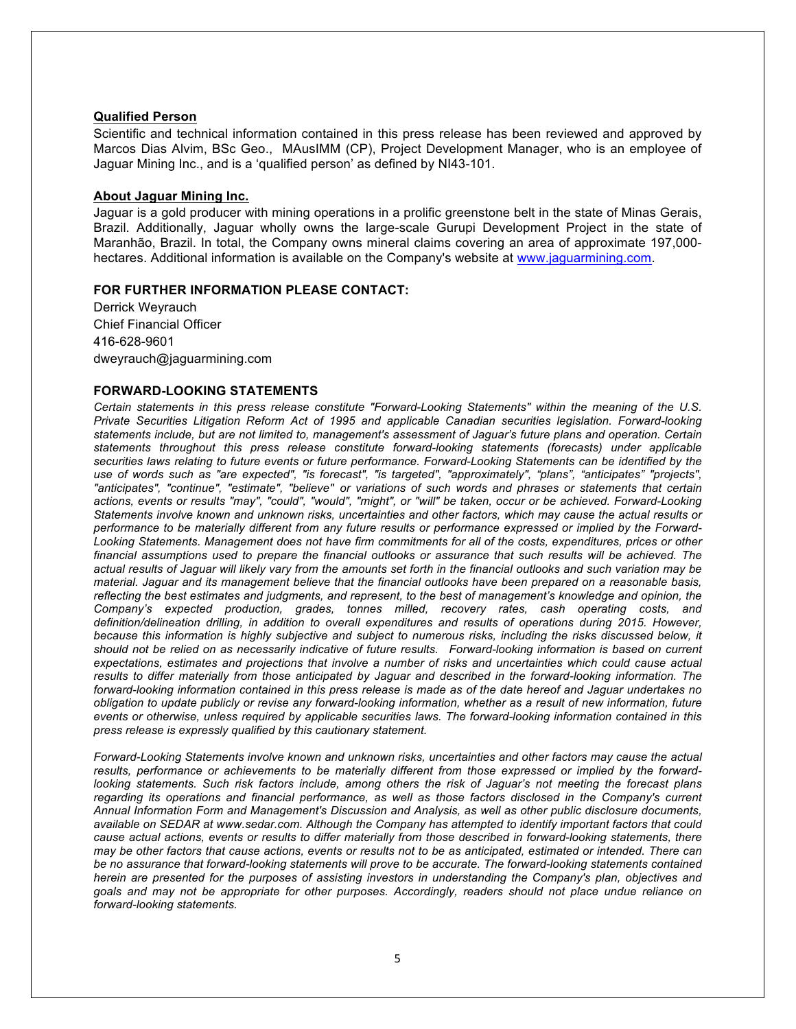#### **Qualified Person**

Scientific and technical information contained in this press release has been reviewed and approved by Marcos Dias Alvim, BSc Geo., MAusIMM (CP), Project Development Manager, who is an employee of Jaguar Mining Inc., and is a 'qualified person' as defined by NI43-101.

#### **About Jaguar Mining Inc.**

Jaguar is a gold producer with mining operations in a prolific greenstone belt in the state of Minas Gerais, Brazil. Additionally, Jaguar wholly owns the large-scale Gurupi Development Project in the state of Maranhão, Brazil. In total, the Company owns mineral claims covering an area of approximate 197,000 hectares. Additional information is available on the Company's website at www.jaguarmining.com.

#### **FOR FURTHER INFORMATION PLEASE CONTACT:**

Derrick Weyrauch Chief Financial Officer 416-628-9601 dweyrauch@jaguarmining.com

#### **FORWARD-LOOKING STATEMENTS**

*Certain statements in this press release constitute "Forward-Looking Statements" within the meaning of the U.S. Private Securities Litigation Reform Act of 1995 and applicable Canadian securities legislation. Forward-looking statements include, but are not limited to, management's assessment of Jaguar's future plans and operation. Certain statements throughout this press release constitute forward-looking statements (forecasts) under applicable securities laws relating to future events or future performance. Forward-Looking Statements can be identified by the use of words such as "are expected", "is forecast", "is targeted", "approximately", "plans", "anticipates" "projects", "anticipates", "continue", "estimate", "believe" or variations of such words and phrases or statements that certain actions, events or results "may", "could", "would", "might", or "will" be taken, occur or be achieved. Forward-Looking Statements involve known and unknown risks, uncertainties and other factors, which may cause the actual results or performance to be materially different from any future results or performance expressed or implied by the Forward-Looking Statements. Management does not have firm commitments for all of the costs, expenditures, prices or other financial assumptions used to prepare the financial outlooks or assurance that such results will be achieved. The actual results of Jaguar will likely vary from the amounts set forth in the financial outlooks and such variation may be material. Jaguar and its management believe that the financial outlooks have been prepared on a reasonable basis, reflecting the best estimates and judgments, and represent, to the best of management's knowledge and opinion, the Company's expected production, grades, tonnes milled, recovery rates, cash operating costs, and definition/delineation drilling, in addition to overall expenditures and results of operations during 2015. However,*  because this information is highly subjective and subject to numerous risks, including the risks discussed below, it *should not be relied on as necessarily indicative of future results. Forward-looking information is based on current expectations, estimates and projections that involve a number of risks and uncertainties which could cause actual*  results to differ materially from those anticipated by Jaguar and described in the forward-looking information. The *forward-looking information contained in this press release is made as of the date hereof and Jaguar undertakes no obligation to update publicly or revise any forward-looking information, whether as a result of new information, future events or otherwise, unless required by applicable securities laws. The forward-looking information contained in this press release is expressly qualified by this cautionary statement.*

*Forward-Looking Statements involve known and unknown risks, uncertainties and other factors may cause the actual results, performance or achievements to be materially different from those expressed or implied by the forwardlooking statements. Such risk factors include, among others the risk of Jaguar's not meeting the forecast plans regarding its operations and financial performance, as well as those factors disclosed in the Company's current Annual Information Form and Management's Discussion and Analysis, as well as other public disclosure documents, available on SEDAR at www.sedar.com. Although the Company has attempted to identify important factors that could cause actual actions, events or results to differ materially from those described in forward-looking statements, there may be other factors that cause actions, events or results not to be as anticipated, estimated or intended. There can*  be no assurance that forward-looking statements will prove to be accurate. The forward-looking statements contained *herein are presented for the purposes of assisting investors in understanding the Company's plan, objectives and goals and may not be appropriate for other purposes. Accordingly, readers should not place undue reliance on forward-looking statements.*